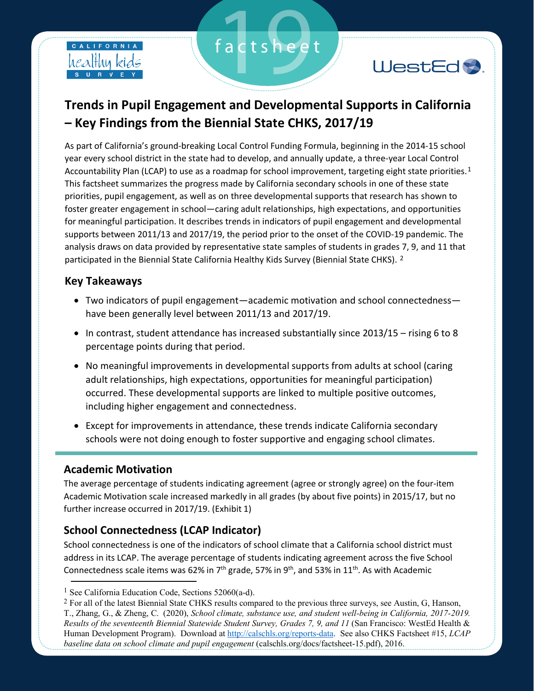



# **Trends in Pupil Engagement and Developmental Supports in California – Key Findings from the Biennial State CHKS, 2017/19**

factsheet

As part of California's ground-breaking Local Control Funding Formula, beginning in the 2014-15 school year every school district in the state had to develop, and annually update, a three-year Local Control Accountability Plan (LCAP) to use as a roadmap for school improvement, targeting eight state priorities.<sup>1</sup> This factsheet summarizes the progress made by California secondary schools in one of these state priorities, pupil engagement, as well as on three developmental supports that research has shown to foster greater engagement in school—caring adult relationships, high expectations, and opportunities for meaningful participation. It describes trends in indicators of pupil engagement and developmental supports between 2011/13 and 2017/19, the period prior to the onset of the COVID-19 pandemic. The analysis draws on data provided by representative state samples of students in grades 7, 9, and 11 that participated in the Biennial State California Healthy Kids Survey (Biennial State CHKS). 2

### **Key Takeaways**

- Two indicators of pupil engagement—academic motivation and school connectedness have been generally level between 2011/13 and 2017/19.
- In contrast, student attendance has increased substantially since 2013/15 rising 6 to 8 percentage points during that period.
- No meaningful improvements in developmental supports from adults at school (caring adult relationships, high expectations, opportunities for meaningful participation) occurred. These developmental supports are linked to multiple positive outcomes, including higher engagement and connectedness.
- Except for improvements in attendance, these trends indicate California secondary schools were not doing enough to foster supportive and engaging school climates.

#### **Academic Motivation**

The average percentage of students indicating agreement (agree or strongly agree) on the four-item Academic Motivation scale increased markedly in all grades (by about five points) in 2015/17, but no further increase occurred in 2017/19. (Exhibit 1)

# **School Connectedness (LCAP Indicator)**

School connectedness is one of the indicators of school climate that a California school district must address in its LCAP. The average percentage of students indicating agreement across the five School Connectedness scale items was 62% in  $7<sup>th</sup>$  grade, 57% in 9<sup>th</sup>, and 53% in 11<sup>th</sup>. As with Academic

<sup>&</sup>lt;sup>1</sup> See California Education Code, Sections 52060(a-d).

<sup>&</sup>lt;sup>2</sup> For all of the latest Biennial State CHKS results compared to the previous three surveys, see Austin, G, Hanson, T., Zhang, G., & Zheng, C. (2020), *School climate, substance use, and student well-being in California, 2017-2019. Results of the seventeenth Biennial Statewide Student Survey, Grades 7, 9, and 11* (San Francisco: WestEd Health & Human Development Program). Download at http://calschls.org/reports-data. See also CHKS Factsheet #15, *LCAP baseline data on school climate and pupil engagement* (calschls.org/docs/factsheet-15.pdf), 2016.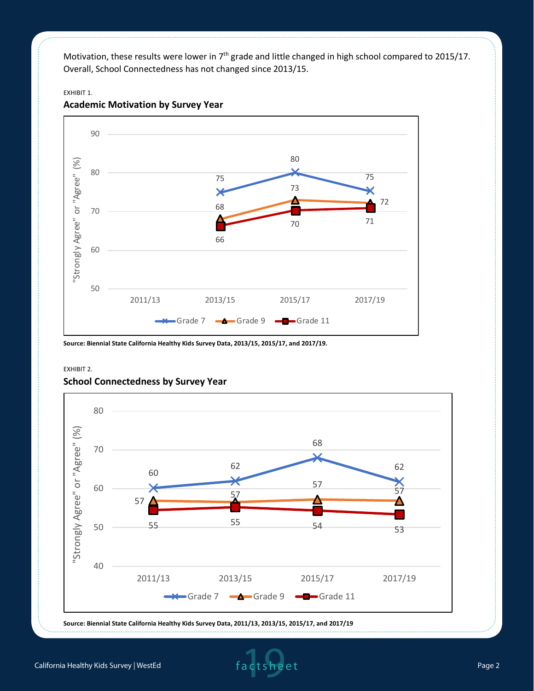Motivation, these results were lower in 7<sup>th</sup> grade and little changed in high school compared to 2015/17. Overall, School Connectedness has not changed since 2013/15.

#### EXHIBIT 1.

EXHIBIT 2.



#### **Academic Motivation by Survey Year**

**Source: Biennial State California Healthy Kids Survey Data, 2013/15, 2015/17, and 2017/19.** 



#### **School Connectedness by Survey Year**

**Source: Biennial State California Healthy Kids Survey Data, 2011/13, 2013/15, 2015/17, and 2017/19**

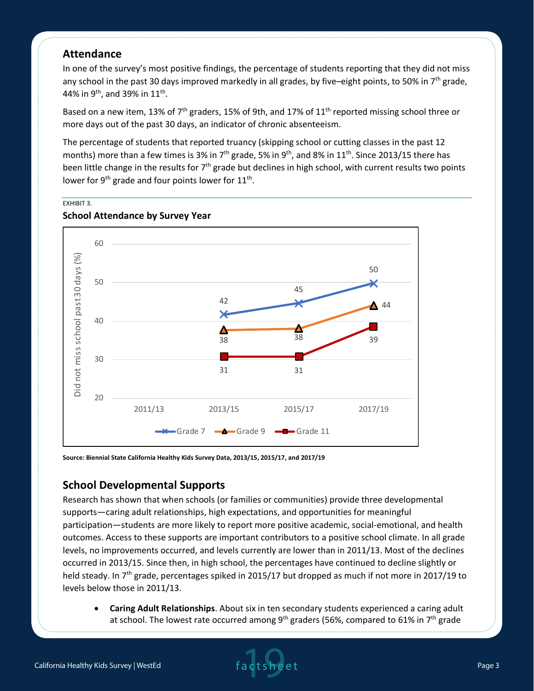## **Attendance**

EXHIBIT 3.

In one of the survey's most positive findings, the percentage of students reporting that they did not miss any school in the past 30 days improved markedly in all grades, by five–eight points, to 50% in  $7<sup>th</sup>$  grade, 44% in 9<sup>th</sup>, and 39% in 11<sup>th</sup>.

Based on a new item, 13% of 7<sup>th</sup> graders, 15% of 9th, and 17% of 11<sup>th</sup> reported missing school three or more days out of the past 30 days, an indicator of chronic absenteeism.

The percentage of students that reported truancy (skipping school or cutting classes in the past 12 months) more than a few times is 3% in 7<sup>th</sup> grade, 5% in 9<sup>th</sup>, and 8% in 11<sup>th</sup>. Since 2013/15 there has been little change in the results for 7<sup>th</sup> grade but declines in high school, with current results two points lower for  $9^{th}$  grade and four points lower for  $11^{th}$ .



#### **School Attendance by Survey Year**

**Source: Biennial State California Healthy Kids Survey Data, 2013/15, 2015/17, and 2017/19**

### **School Developmental Supports**

Research has shown that when schools (or families or communities) provide three developmental supports—caring adult relationships, high expectations, and opportunities for meaningful participation—students are more likely to report more positive academic, social-emotional, and health outcomes. Access to these supports are important contributors to a positive school climate. In all grade levels, no improvements occurred, and levels currently are lower than in 2011/13. Most of the declines occurred in 2013/15. Since then, in high school, the percentages have continued to decline slightly or held steady. In 7<sup>th</sup> grade, percentages spiked in 2015/17 but dropped as much if not more in 2017/19 to levels below those in 2011/13.

• **Caring Adult Relationships**. About six in ten secondary students experienced a caring adult at school. The lowest rate occurred among 9<sup>th</sup> graders (56%, compared to 61% in 7<sup>th</sup> grade

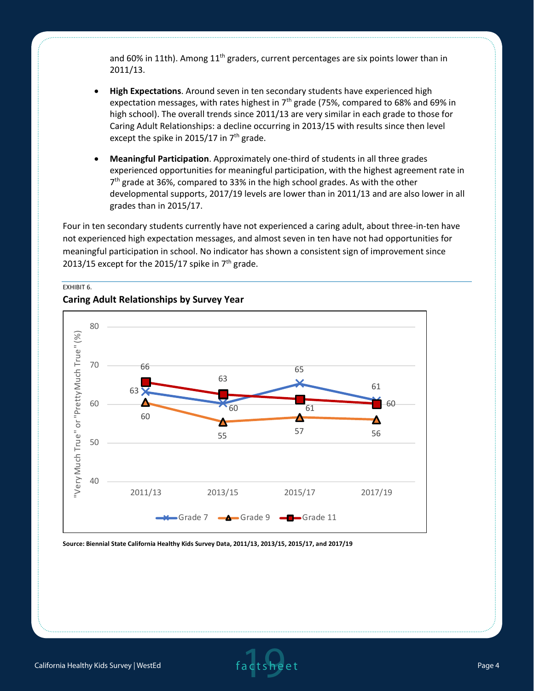and 60% in 11th). Among  $11<sup>th</sup>$  graders, current percentages are six points lower than in 2011/13.

- **High Expectations**. Around seven in ten secondary students have experienced high expectation messages, with rates highest in  $7<sup>th</sup>$  grade (75%, compared to 68% and 69% in high school). The overall trends since 2011/13 are very similar in each grade to those for Caring Adult Relationships: a decline occurring in 2013/15 with results since then level except the spike in 2015/17 in  $7<sup>th</sup>$  grade.
- **Meaningful Participation**. Approximately one-third of students in all three grades experienced opportunities for meaningful participation, with the highest agreement rate in 7<sup>th</sup> grade at 36%, compared to 33% in the high school grades. As with the other developmental supports, 2017/19 levels are lower than in 2011/13 and are also lower in all grades than in 2015/17.

Four in ten secondary students currently have not experienced a caring adult, about three-in-ten have not experienced high expectation messages, and almost seven in ten have not had opportunities for meaningful participation in school. No indicator has shown a consistent sign of improvement since 2013/15 except for the 2015/17 spike in  $7<sup>th</sup>$  grade.



### **Caring Adult Relationships by Survey Year**

EXHIBIT 6.

**Source: Biennial State California Healthy Kids Survey Data, 2011/13, 2013/15, 2015/17, and 2017/19**

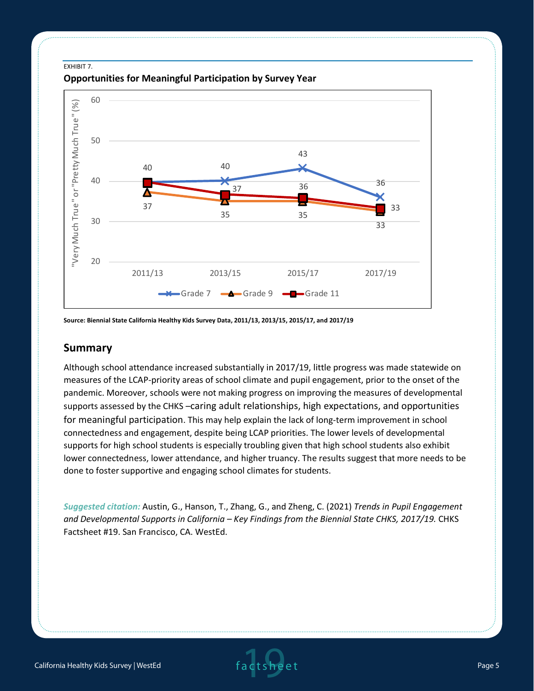#### EXHIBIT 7.





**Source: Biennial State California Healthy Kids Survey Data, 2011/13, 2013/15, 2015/17, and 2017/19**

#### **Summary**

Although school attendance increased substantially in 2017/19, little progress was made statewide on measures of the LCAP-priority areas of school climate and pupil engagement, prior to the onset of the pandemic. Moreover, schools were not making progress on improving the measures of developmental supports assessed by the CHKS –caring adult relationships, high expectations, and opportunities for meaningful participation. This may help explain the lack of long-term improvement in school connectedness and engagement, despite being LCAP priorities. The lower levels of developmental supports for high school students is especially troubling given that high school students also exhibit lower connectedness, lower attendance, and higher truancy. The results suggest that more needs to be done to foster supportive and engaging school climates for students.

*Suggested citation:* Austin, G., Hanson, T., Zhang, G., and Zheng, C. (2021) *Trends in Pupil Engagement*  and Developmental Supports in California – Key Findings from the Biennial State CHKS, 2017/19. CHKS Factsheet #19. San Francisco, CA. WestEd.

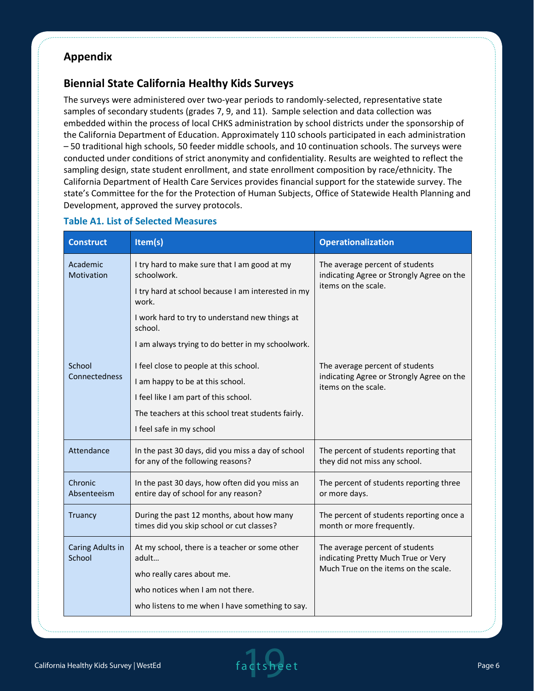# **Appendix**

# **Biennial State California Healthy Kids Surveys**

The surveys were administered over two-year periods to randomly-selected, representative state samples of secondary students (grades 7, 9, and 11). Sample selection and data collection was embedded within the process of local CHKS administration by school districts under the sponsorship of the California Department of Education. Approximately 110 schools participated in each administration – 50 traditional high schools, 50 feeder middle schools, and 10 continuation schools. The surveys were conducted under conditions of strict anonymity and confidentiality. Results are weighted to reflect the sampling design, state student enrollment, and state enrollment composition by race/ethnicity. The California Department of Health Care Services provides financial support for the statewide survey. The state's Committee for the for the Protection of Human Subjects, Office of Statewide Health Planning and Development, approved the survey protocols.

| <b>Construct</b>           | Item(s)                                                                                                                                                                                                                                      | <b>Operationalization</b>                                                                                      |
|----------------------------|----------------------------------------------------------------------------------------------------------------------------------------------------------------------------------------------------------------------------------------------|----------------------------------------------------------------------------------------------------------------|
| Academic<br>Motivation     | I try hard to make sure that I am good at my<br>schoolwork.<br>I try hard at school because I am interested in my<br>work.<br>I work hard to try to understand new things at<br>school.<br>I am always trying to do better in my schoolwork. | The average percent of students<br>indicating Agree or Strongly Agree on the<br>items on the scale.            |
| School<br>Connectedness    | I feel close to people at this school.<br>I am happy to be at this school.<br>I feel like I am part of this school.<br>The teachers at this school treat students fairly.<br>I feel safe in my school                                        | The average percent of students<br>indicating Agree or Strongly Agree on the<br>items on the scale.            |
| Attendance                 | In the past 30 days, did you miss a day of school<br>for any of the following reasons?                                                                                                                                                       | The percent of students reporting that<br>they did not miss any school.                                        |
| Chronic<br>Absenteeism     | In the past 30 days, how often did you miss an<br>entire day of school for any reason?                                                                                                                                                       | The percent of students reporting three<br>or more days.                                                       |
| Truancy                    | During the past 12 months, about how many<br>times did you skip school or cut classes?                                                                                                                                                       | The percent of students reporting once a<br>month or more frequently.                                          |
| Caring Adults in<br>School | At my school, there is a teacher or some other<br>adult<br>who really cares about me.<br>who notices when I am not there.<br>who listens to me when I have something to say.                                                                 | The average percent of students<br>indicating Pretty Much True or Very<br>Much True on the items on the scale. |

#### **Table A1. List of Selected Measures**